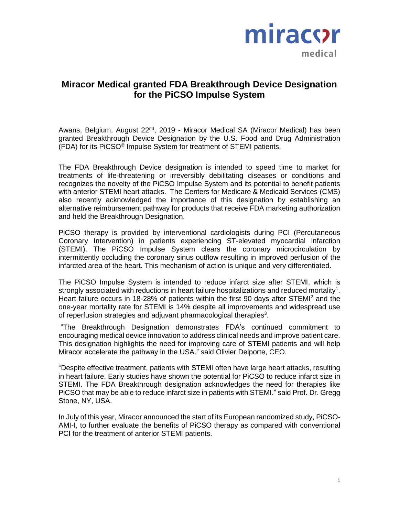

## **Miracor Medical granted FDA Breakthrough Device Designation for the PiCSO Impulse System**

Awans, Belgium, August 22<sup>nd</sup>, 2019 - Miracor Medical SA (Miracor Medical) has been granted Breakthrough Device Designation by the U.S. Food and Drug Administration (FDA) for its PiCSO® Impulse System for treatment of STEMI patients.

The FDA Breakthrough Device designation is intended to speed time to market for treatments of life-threatening or irreversibly debilitating diseases or conditions and recognizes the novelty of the PiCSO Impulse System and its potential to benefit patients with anterior STEMI heart attacks. The Centers for Medicare & Medicaid Services (CMS) also recently acknowledged the importance of this designation by establishing an alternative reimbursement pathway for products that receive FDA marketing authorization and held the Breakthrough Designation.

PiCSO therapy is provided by interventional cardiologists during PCI (Percutaneous Coronary Intervention) in patients experiencing ST-elevated myocardial infarction (STEMI). The PiCSO Impulse System clears the coronary microcirculation by intermittently occluding the coronary sinus outflow resulting in improved perfusion of the infarcted area of the heart. This mechanism of action is unique and very differentiated.

The PiCSO Impulse System is intended to reduce infarct size after STEMI, which is strongly associated with reductions in heart failure hospitalizations and reduced mortality<sup>1</sup>. Heart failure occurs in 18-28% of patients within the first 90 days after STEMI<sup>2</sup> and the one-year mortality rate for STEMI is 14% despite all improvements and widespread use of reperfusion strategies and adjuvant pharmacological therapies $3$ .

"The Breakthrough Designation demonstrates FDA's continued commitment to encouraging medical device innovation to address clinical needs and improve patient care. This designation highlights the need for improving care of STEMI patients and will help Miracor accelerate the pathway in the USA." said Olivier Delporte, CEO.

"Despite effective treatment, patients with STEMI often have large heart attacks, resulting in heart failure. Early studies have shown the potential for PiCSO to reduce infarct size in STEMI. The FDA Breakthrough designation acknowledges the need for therapies like PiCSO that may be able to reduce infarct size in patients with STEMI." said Prof. Dr. Gregg Stone, NY, USA.

In July of this year, Miracor announced the start of its European randomized study, PiCSO-AMI-I, to further evaluate the benefits of PiCSO therapy as compared with conventional PCI for the treatment of anterior STEMI patients.